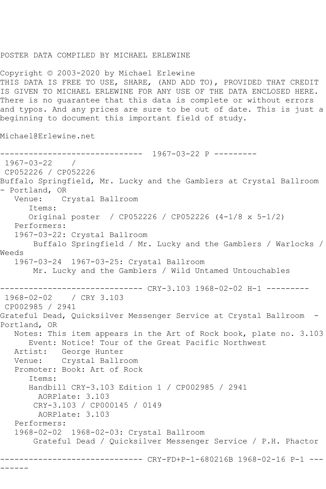## POSTER DATA COMPILED BY MICHAEL ERLEWINE

Copyright © 2003-2020 by Michael Erlewine THIS DATA IS FREE TO USE, SHARE, (AND ADD TO), PROVIDED THAT CREDIT IS GIVEN TO MICHAEL ERLEWINE FOR ANY USE OF THE DATA ENCLOSED HERE. There is no guarantee that this data is complete or without errors and typos. And any prices are sure to be out of date. This is just a beginning to document this important field of study.

Michael@Erlewine.net

------------------------------ 1967-03-22 P --------- 1967-03-22 / CP052226 / CP052226 Buffalo Springfield, Mr. Lucky and the Gamblers at Crystal Ballroom - Portland, OR Venue: Crystal Ballroom Items: Original poster / CP052226 / CP052226 (4-1/8 x 5-1/2) Performers: 1967-03-22: Crystal Ballroom Buffalo Springfield / Mr. Lucky and the Gamblers / Warlocks / Weeds 1967-03-24 1967-03-25: Crystal Ballroom Mr. Lucky and the Gamblers / Wild Untamed Untouchables ------------------------------ CRY-3.103 1968-02-02 H-1 --------- 1968-02-02 / CRY 3.103 CP002985 / 2941 Grateful Dead, Quicksilver Messenger Service at Crystal Ballroom - Portland, OR Notes: This item appears in the Art of Rock book, plate no. 3.103 Event: Notice! Tour of the Great Pacific Northwest Artist: George Hunter Venue: Crystal Ballroom Promoter: Book: Art of Rock Items: Handbill CRY-3.103 Edition 1 / CP002985 / 2941 AORPlate: 3.103 CRY-3.103 / CP000145 / 0149 AORPlate: 3.103 Performers: 1968-02-02 1968-02-03: Crystal Ballroom Grateful Dead / Quicksilver Messenger Service / P.H. Phactor ------------------------------ CRY-FD+P-1-680216B 1968-02-16 P-1 --- ------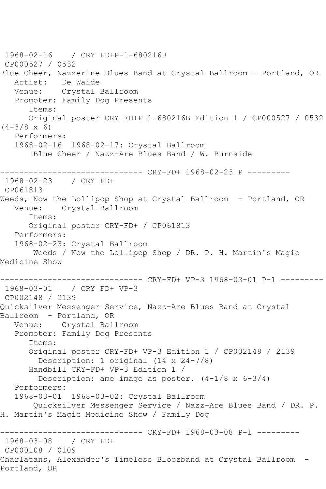1968-02-16 / CRY FD+P-1-680216B CP000527 / 0532 Blue Cheer, Nazzerine Blues Band at Crystal Ballroom - Portland, OR Artist: De Waide Venue: Crystal Ballroom Promoter: Family Dog Presents Items: Original poster CRY-FD+P-1-680216B Edition 1 / CP000527 / 0532  $(4-3/8 \times 6)$  Performers: 1968-02-16 1968-02-17: Crystal Ballroom Blue Cheer / Nazz-Are Blues Band / W. Burnside ------------------------------ CRY-FD+ 1968-02-23 P --------- 1968-02-23 / CRY FD+ CP061813 Weeds, Now the Lollipop Shop at Crystal Ballroom - Portland, OR Venue: Crystal Ballroom Items: Original poster CRY-FD+ / CP061813 Performers: 1968-02-23: Crystal Ballroom Weeds / Now the Lollipop Shop / DR. P. H. Martin's Magic Medicine Show ------------------------------ CRY-FD+ VP-3 1968-03-01 P-1 --------- 1968-03-01 / CRY FD+ VP-3 CP002148 / 2139 Quicksilver Messenger Service, Nazz-Are Blues Band at Crystal Ballroom - Portland, OR Venue: Crystal Ballroom Promoter: Family Dog Presents Items: Original poster CRY-FD+ VP-3 Edition 1 / CP002148 / 2139 Description: 1 original (14 x 24-7/8) Handbill CRY-FD+ VP-3 Edition 1 / Description: ame image as poster.  $(4-1/8 \times 6-3/4)$  Performers: 1968-03-01 1968-03-02: Crystal Ballroom Quicksilver Messenger Service / Nazz-Are Blues Band / DR. P. H. Martin's Magic Medicine Show / Family Dog ------------------------------ CRY-FD+ 1968-03-08 P-1 --------- 1968-03-08 / CRY FD+ CP000108 / 0109 Charlatans, Alexander's Timeless Bloozband at Crystal Ballroom - Portland, OR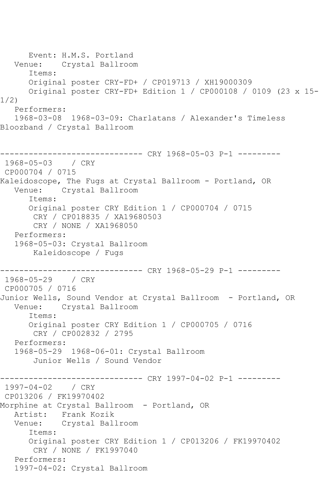Event: H.M.S. Portland<br>Venue: Crystal Ballroon Crystal Ballroom Items: Original poster CRY-FD+ / CP019713 / XH19000309 Original poster CRY-FD+ Edition 1 / CP000108 / 0109 (23 x 15- 1/2) Performers: 1968-03-08 1968-03-09: Charlatans / Alexander's Timeless Bloozband / Crystal Ballroom ------------------------------ CRY 1968-05-03 P-1 --------- 1968-05-03 / CRY CP000704 / 0715 Kaleidoscope, The Fugs at Crystal Ballroom - Portland, OR Venue: Crystal Ballroom Items: Original poster CRY Edition 1 / CP000704 / 0715 CRY / CP018835 / XA19680503 CRY / NONE / XA1968050 Performers: 1968-05-03: Crystal Ballroom Kaleidoscope / Fugs ------------------------------ CRY 1968-05-29 P-1 --------- 1968-05-29 / CRY CP000705 / 0716 Junior Wells, Sound Vendor at Crystal Ballroom - Portland, OR Venue: Crystal Ballroom Items: Original poster CRY Edition 1 / CP000705 / 0716 CRY / CP002832 / 2795 Performers: 1968-05-29 1968-06-01: Crystal Ballroom Junior Wells / Sound Vendor ------------------------------ CRY 1997-04-02 P-1 --------- 1997-04-02 / CRY CP013206 / FK19970402 Morphine at Crystal Ballroom - Portland, OR Artist: Frank Kozik Venue: Crystal Ballroom Items: Original poster CRY Edition 1 / CP013206 / FK19970402 CRY / NONE / FK1997040 Performers: 1997-04-02: Crystal Ballroom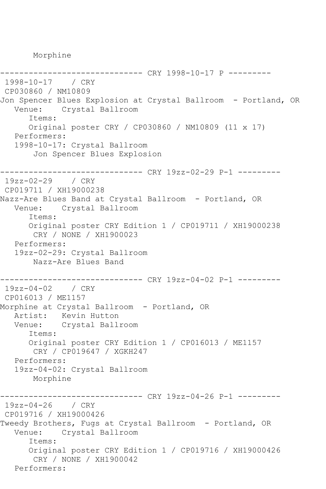Morphine

---------------- CRY 1998-10-17 P ---------1998-10-17 / CRY CP030860 / NM10809 Jon Spencer Blues Explosion at Crystal Ballroom - Portland, OR Venue: Crystal Ballroom Items: Original poster CRY / CP030860 / NM10809 (11 x 17) Performers: 1998-10-17: Crystal Ballroom Jon Spencer Blues Explosion ------------------------------ CRY 19zz-02-29 P-1 --------- 19zz-02-29 / CRY CP019711 / XH19000238 Nazz-Are Blues Band at Crystal Ballroom - Portland, OR Venue: Crystal Ballroom Items: Original poster CRY Edition 1 / CP019711 / XH19000238 CRY / NONE / XH1900023 Performers: 19zz-02-29: Crystal Ballroom Nazz-Are Blues Band ------------------------------ CRY 19zz-04-02 P-1 --------- 19zz-04-02 / CRY CP016013 / ME1157 Morphine at Crystal Ballroom - Portland, OR Artist: Kevin Hutton<br>Venue: Crystal Ball Crystal Ballroom Items: Original poster CRY Edition 1 / CP016013 / ME1157 CRY / CP019647 / XGKH247 Performers: 19zz-04-02: Crystal Ballroom Morphine ------------------------------ CRY 19zz-04-26 P-1 --------- 19zz-04-26 / CRY CP019716 / XH19000426 Tweedy Brothers, Fugs at Crystal Ballroom - Portland, OR Venue: Crystal Ballroom Items: Original poster CRY Edition 1 / CP019716 / XH19000426 CRY / NONE / XH1900042 Performers: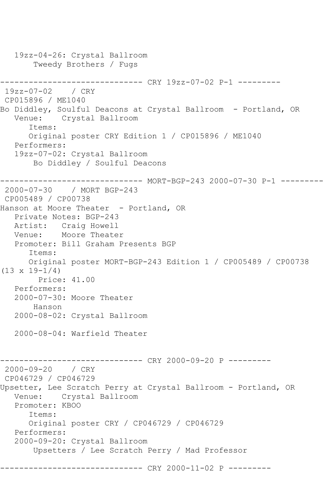```
 19zz-04-26: Crystal Ballroom
        Tweedy Brothers / Fugs
------------------------------ CRY 19zz-07-02 P-1 ---------
19zz-07-02 / CRY 
CP015896 / ME1040
Bo Diddley, Soulful Deacons at Crystal Ballroom - Portland, OR
   Venue: Crystal Ballroom
       Items:
      Original poster CRY Edition 1 / CP015896 / ME1040
   Performers:
   19zz-07-02: Crystal Ballroom
        Bo Diddley / Soulful Deacons
       ------------------------------ MORT-BGP-243 2000-07-30 P-1 ---------
2000-07-30 / MORT BGP-243
CP005489 / CP00738
Hanson at Moore Theater - Portland, OR
   Private Notes: BGP-243
   Artist: Craig Howell
   Venue: Moore Theater
   Promoter: Bill Graham Presents BGP
       Items:
      Original poster MORT-BGP-243 Edition 1 / CP005489 / CP00738 
(13 \times 19 - 1/4) Price: 41.00
   Performers:
   2000-07-30: Moore Theater
        Hanson
   2000-08-02: Crystal Ballroom
   2000-08-04: Warfield Theater
                     ---------- CRY 2000-09-20 P ---------
2000-09-20 / CRY 
CP046729 / CP046729
Upsetter, Lee Scratch Perry at Crystal Ballroom - Portland, OR
   Venue: Crystal Ballroom
   Promoter: KBOO
       Items:
      Original poster CRY / CP046729 / CP046729
   Performers:
   2000-09-20: Crystal Ballroom
        Upsetters / Lee Scratch Perry / Mad Professor
               --------------- CRY 2000-11-02 P ---------
```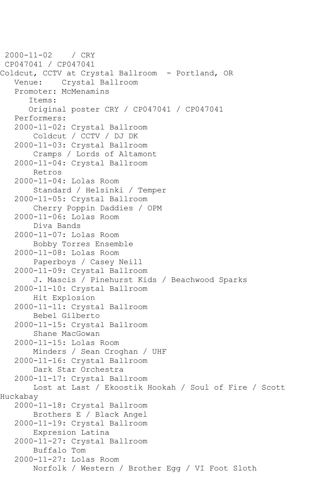```
2000-11-02 / CRY 
CP047041 / CP047041
Coldcut, CCTV at Crystal Ballroom - Portland, OR
    Venue: Crystal Ballroom
    Promoter: McMenamins
       Items:
       Original poster CRY / CP047041 / CP047041
    Performers:
   2000-11-02: Crystal Ballroom
        Coldcut / CCTV / DJ DK
    2000-11-03: Crystal Ballroom
        Cramps / Lords of Altamont
    2000-11-04: Crystal Ballroom
        Retros
    2000-11-04: Lolas Room
        Standard / Helsinki / Temper
    2000-11-05: Crystal Ballroom
        Cherry Poppin Daddies / OPM
    2000-11-06: Lolas Room
        Diva Bands
    2000-11-07: Lolas Room
        Bobby Torres Ensemble
    2000-11-08: Lolas Room
        Paperboys / Casey Neill
    2000-11-09: Crystal Ballroom
        J. Mascis / Pinehurst Kids / Beachwood Sparks
    2000-11-10: Crystal Ballroom
        Hit Explosion
    2000-11-11: Crystal Ballroom
        Bebel Gilberto
    2000-11-15: Crystal Ballroom
        Shane MacGowan
    2000-11-15: Lolas Room
        Minders / Sean Croghan / UHF
    2000-11-16: Crystal Ballroom
        Dark Star Orchestra
    2000-11-17: Crystal Ballroom
        Lost at Last / Ekoostik Hookah / Soul of Fire / Scott 
Huckabay
    2000-11-18: Crystal Ballroom
        Brothers E / Black Angel
    2000-11-19: Crystal Ballroom
        Expresion Latina
    2000-11-27: Crystal Ballroom
        Buffalo Tom
    2000-11-27: Lolas Room
        Norfolk / Western / Brother Egg / VI Foot Sloth
```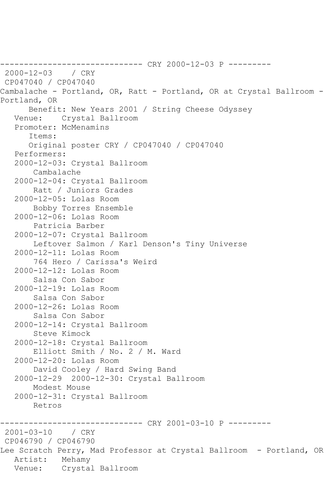------------------------------ CRY 2000-12-03 P --------- 2000-12-03 / CRY CP047040 / CP047040 Cambalache - Portland, OR, Ratt - Portland, OR at Crystal Ballroom - Portland, OR Benefit: New Years 2001 / String Cheese Odyssey Venue: Crystal Ballroom Promoter: McMenamins Items: Original poster CRY / CP047040 / CP047040 Performers: 2000-12-03: Crystal Ballroom Cambalache 2000-12-04: Crystal Ballroom Ratt / Juniors Grades 2000-12-05: Lolas Room Bobby Torres Ensemble 2000-12-06: Lolas Room Patricia Barber 2000-12-07: Crystal Ballroom Leftover Salmon / Karl Denson's Tiny Universe 2000-12-11: Lolas Room 764 Hero / Carissa's Weird 2000-12-12: Lolas Room Salsa Con Sabor 2000-12-19: Lolas Room Salsa Con Sabor 2000-12-26: Lolas Room Salsa Con Sabor 2000-12-14: Crystal Ballroom Steve Kimock 2000-12-18: Crystal Ballroom Elliott Smith / No. 2 / M. Ward 2000-12-20: Lolas Room David Cooley / Hard Swing Band 2000-12-29 2000-12-30: Crystal Ballroom Modest Mouse 2000-12-31: Crystal Ballroom Retros ------------------------------ CRY 2001-03-10 P ---------  $2001 - 03 - 10$ CP046790 / CP046790 Lee Scratch Perry, Mad Professor at Crystal Ballroom - Portland, OR Artist: Mehamy Venue: Crystal Ballroom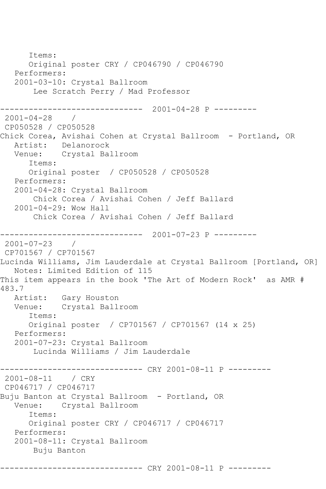Items: Original poster CRY / CP046790 / CP046790 Performers: 2001-03-10: Crystal Ballroom Lee Scratch Perry / Mad Professor ------------------------------ 2001-04-28 P --------- 2001-04-28 / CP050528 / CP050528 Chick Corea, Avishai Cohen at Crystal Ballroom - Portland, OR Artist: Delanorock Venue: Crystal Ballroom Items: Original poster / CP050528 / CP050528 Performers: 2001-04-28: Crystal Ballroom Chick Corea / Avishai Cohen / Jeff Ballard 2001-04-29: Wow Hall Chick Corea / Avishai Cohen / Jeff Ballard ------------------------------ 2001-07-23 P --------- 2001-07-23 / CP701567 / CP701567 Lucinda Williams, Jim Lauderdale at Crystal Ballroom [Portland, OR] Notes: Limited Edition of 115 This item appears in the book 'The Art of Modern Rock' as AMR # 483.7 Artist: Gary Houston Venue: Crystal Ballroom Items: Original poster / CP701567 / CP701567 (14 x 25) Performers: 2001-07-23: Crystal Ballroom Lucinda Williams / Jim Lauderdale ------------------------------ CRY 2001-08-11 P --------- 2001-08-11 / CRY CP046717 / CP046717 Buju Banton at Crystal Ballroom – Portland, OR<br>Venue: Crystal Ballroom Crystal Ballroom Items: Original poster CRY / CP046717 / CP046717 Performers: 2001-08-11: Crystal Ballroom Buju Banton ------------------------------ CRY 2001-08-11 P ---------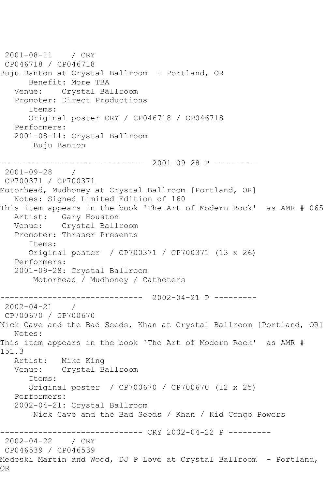```
2001-08-11 / CRY 
CP046718 / CP046718
Buju Banton at Crystal Ballroom - Portland, OR
      Benefit: More TBA
   Venue: Crystal Ballroom
   Promoter: Direct Productions
       Items:
       Original poster CRY / CP046718 / CP046718
   Performers:
   2001-08-11: Crystal Ballroom
       Buju Banton
------------------------------ 2001-09-28 P ---------
2001-09-28 / 
CP700371 / CP700371
Motorhead, Mudhoney at Crystal Ballroom [Portland, OR]
   Notes: Signed Limited Edition of 160
This item appears in the book 'The Art of Modern Rock' as AMR # 065
   Artist: Gary Houston
   Venue: Crystal Ballroom
   Promoter: Thraser Presents
       Items:
      Original poster / CP700371 / CP700371 (13 x 26)
   Performers:
   2001-09-28: Crystal Ballroom
       Motorhead / Mudhoney / Catheters
------------------------------ 2002-04-21 P ---------
2002 - 04 - 21CP700670 / CP700670
Nick Cave and the Bad Seeds, Khan at Crystal Ballroom [Portland, OR]
   Notes: 
This item appears in the book 'The Art of Modern Rock' as AMR # 
151.3
   Artist: Mike King
   Venue: Crystal Ballroom
       Items:
      Original poster / CP700670 / CP700670 (12 x 25)
   Performers:
   2002-04-21: Crystal Ballroom
       Nick Cave and the Bad Seeds / Khan / Kid Congo Powers
              ------------------------------ CRY 2002-04-22 P ---------
2002-04-22
CP046539 / CP046539
Medeski Martin and Wood, DJ P Love at Crystal Ballroom - Portland, 
OR
```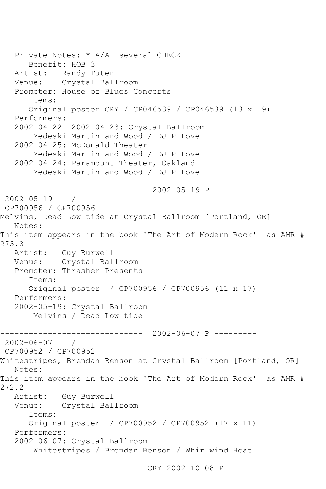Private Notes: \* A/A- several CHECK Benefit: HOB 3 Artist: Randy Tuten<br>Venue: Crystal Bal Crystal Ballroom Promoter: House of Blues Concerts Items: Original poster CRY / CP046539 / CP046539 (13 x 19) Performers: 2002-04-22 2002-04-23: Crystal Ballroom Medeski Martin and Wood / DJ P Love 2002-04-25: McDonald Theater Medeski Martin and Wood / DJ P Love 2002-04-24: Paramount Theater, Oakland Medeski Martin and Wood / DJ P Love ------------------------------ 2002-05-19 P --------- 2002-05-19 / CP700956 / CP700956 Melvins, Dead Low tide at Crystal Ballroom [Portland, OR] Notes: This item appears in the book 'The Art of Modern Rock' as AMR # 273.3 Artist: Guy Burwell Venue: Crystal Ballroom Promoter: Thrasher Presents Items: Original poster / CP700956 / CP700956 (11 x 17) Performers: 2002-05-19: Crystal Ballroom Melvins / Dead Low tide ------------------------------ 2002-06-07 P --------- 2002-06-07 / CP700952 / CP700952 Whitestripes, Brendan Benson at Crystal Ballroom [Portland, OR] Notes: This item appears in the book 'The Art of Modern Rock' as AMR # 272.2 Artist: Guy Burwell<br>Venue: Crystal Bal Crystal Ballroom Items: Original poster / CP700952 / CP700952 (17 x 11) Performers: 2002-06-07: Crystal Ballroom Whitestripes / Brendan Benson / Whirlwind Heat ------------------------------ CRY 2002-10-08 P ---------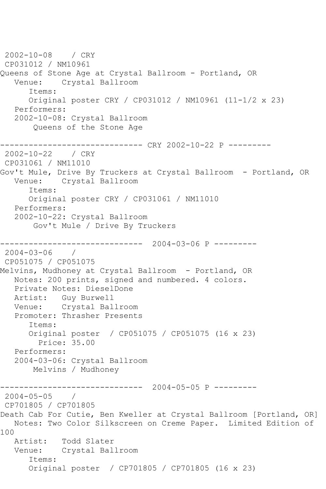2002-10-08 / CRY CP031012 / NM10961 Queens of Stone Age at Crystal Ballroom - Portland, OR Venue: Crystal Ballroom Items: Original poster CRY / CP031012 / NM10961 (11-1/2 x 23) Performers: 2002-10-08: Crystal Ballroom Queens of the Stone Age ------------------------------ CRY 2002-10-22 P --------- 2002-10-22 / CRY CP031061 / NM11010 Gov't Mule, Drive By Truckers at Crystal Ballroom - Portland, OR Venue: Crystal Ballroom Items: Original poster CRY / CP031061 / NM11010 Performers: 2002-10-22: Crystal Ballroom Gov't Mule / Drive By Truckers ------------------------------ 2004-03-06 P --------- 2004-03-06 / CP051075 / CP051075 Melvins, Mudhoney at Crystal Ballroom - Portland, OR Notes: 200 prints, signed and numbered. 4 colors. Private Notes: DieselDone Artist: Guy Burwell Venue: Crystal Ballroom Promoter: Thrasher Presents Items: Original poster / CP051075 / CP051075 (16 x 23) Price: 35.00 Performers: 2004-03-06: Crystal Ballroom Melvins / Mudhoney ------------------------------ 2004-05-05 P --------- 2004-05-05 / CP701805 / CP701805 Death Cab For Cutie, Ben Kweller at Crystal Ballroom [Portland, OR] Notes: Two Color Silkscreen on Creme Paper. Limited Edition of 100 Artist: Todd Slater Venue: Crystal Ballroom Items: Original poster / CP701805 / CP701805 (16 x 23)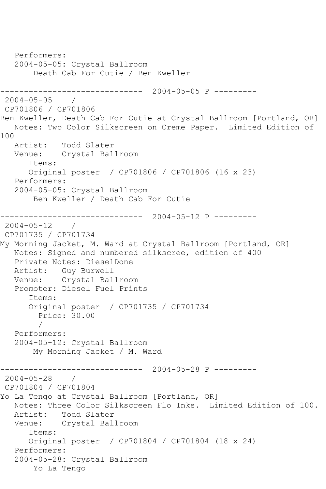```
 Performers:
   2004-05-05: Crystal Ballroom
        Death Cab For Cutie / Ben Kweller
------------------------------ 2004-05-05 P ---------
2004-05-05 / 
CP701806 / CP701806
Ben Kweller, Death Cab For Cutie at Crystal Ballroom [Portland, OR]
   Notes: Two Color Silkscreen on Creme Paper. Limited Edition of 
100<br>Artist:
            Todd Slater
   Venue: Crystal Ballroom
       Items:
       Original poster / CP701806 / CP701806 (16 x 23)
   Performers:
   2004-05-05: Crystal Ballroom
        Ben Kweller / Death Cab For Cutie
            ------------------------------ 2004-05-12 P ---------
2004 - 05 - 12CP701735 / CP701734
My Morning Jacket, M. Ward at Crystal Ballroom [Portland, OR]
   Notes: Signed and numbered silkscree, edition of 400
   Private Notes: DieselDone
   Artist: Guy Burwell
   Venue: Crystal Ballroom
   Promoter: Diesel Fuel Prints
       Items:
       Original poster / CP701735 / CP701734
         Price: 30.00
 / 
   Performers:
   2004-05-12: Crystal Ballroom
        My Morning Jacket / M. Ward
               ------------------------------ 2004-05-28 P ---------
2004-05-28 / 
CP701804 / CP701804
Yo La Tengo at Crystal Ballroom [Portland, OR]
   Notes: Three Color Silkscreen Flo Inks. Limited Edition of 100.
   Artist: Todd Slater
   Venue: Crystal Ballroom
       Items:
      Original poster / CP701804 / CP701804 (18 x 24)
   Performers:
   2004-05-28: Crystal Ballroom
        Yo La Tengo
```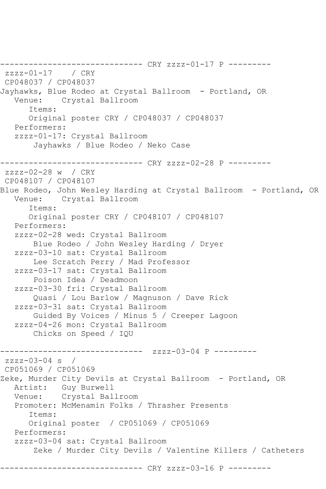------------------------------ CRY zzzz-01-17 P -------- zzzz-01-17 / CRY CP048037 / CP048037 Jayhawks, Blue Rodeo at Crystal Ballroom - Portland, OR Venue: Crystal Ballroom Items: Original poster CRY / CP048037 / CP048037 Performers: zzzz-01-17: Crystal Ballroom Jayhawks / Blue Rodeo / Neko Case ------------------------------ CRY zzzz-02-28 P -------- zzzz-02-28 w / CRY CP048107 / CP048107 Blue Rodeo, John Wesley Harding at Crystal Ballroom - Portland, OR Venue: Crystal Ballroom Items: Original poster CRY / CP048107 / CP048107 Performers: zzzz-02-28 wed: Crystal Ballroom Blue Rodeo / John Wesley Harding / Dryer zzzz-03-10 sat: Crystal Ballroom Lee Scratch Perry / Mad Professor zzzz-03-17 sat: Crystal Ballroom Poison Idea / Deadmoon zzzz-03-30 fri: Crystal Ballroom Quasi / Lou Barlow / Magnuson / Dave Rick zzzz-03-31 sat: Crystal Ballroom Guided By Voices / Minus 5 / Creeper Lagoon zzzz-04-26 mon: Crystal Ballroom Chicks on Speed / IQU ------------------------------ zzzz-03-04 P --------  $zzzz-03-04$  s / CP051069 / CP051069 Zeke, Murder City Devils at Crystal Ballroom - Portland, OR Artist: Guy Burwell Venue: Crystal Ballroom Promoter: McMenamin Folks / Thrasher Presents Items: Original poster / CP051069 / CP051069 Performers: zzzz-03-04 sat: Crystal Ballroom Zeke / Murder City Devils / Valentine Killers / Catheters --------- CRY zzzz-03-16 P ---------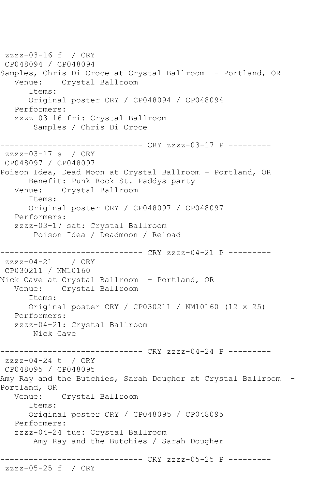zzzz-03-16 f / CRY CP048094 / CP048094 Samples, Chris Di Croce at Crystal Ballroom - Portland, OR Venue: Crystal Ballroom Items: Original poster CRY / CP048094 / CP048094 Performers: zzzz-03-16 fri: Crystal Ballroom Samples / Chris Di Croce ------------------------------ CRY zzzz-03-17 P -------- zzzz-03-17 s / CRY CP048097 / CP048097 Poison Idea, Dead Moon at Crystal Ballroom - Portland, OR Benefit: Punk Rock St. Paddys party Venue: Crystal Ballroom Items: Original poster CRY / CP048097 / CP048097 Performers: zzzz-03-17 sat: Crystal Ballroom Poison Idea / Deadmoon / Reload ------------------------------ CRY zzzz-04-21 P -------- zzzz-04-21 / CRY CP030211 / NM10160 Nick Cave at Crystal Ballroom - Portland, OR<br>Venue: Crystal Ballroom Crystal Ballroom Items: Original poster CRY / CP030211 / NM10160 (12 x 25) Performers: zzzz-04-21: Crystal Ballroom Nick Cave ------------------------------ CRY zzzz-04-24 P -------- zzzz-04-24 t / CRY CP048095 / CP048095 Amy Ray and the Butchies, Sarah Dougher at Crystal Ballroom -Portland, OR Venue: Crystal Ballroom Items: Original poster CRY / CP048095 / CP048095 Performers: zzzz-04-24 tue: Crystal Ballroom Amy Ray and the Butchies / Sarah Dougher ------------------------------ CRY zzzz-05-25 P -------- zzzz-05-25 f / CRY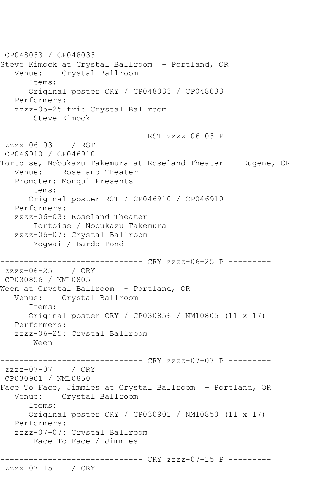CP048033 / CP048033 Steve Kimock at Crystal Ballroom - Portland, OR Venue: Crystal Ballroom Items: Original poster CRY / CP048033 / CP048033 Performers: zzzz-05-25 fri: Crystal Ballroom Steve Kimock ------------------------------ RST zzzz-06-03 P -------- zzzz-06-03 / RST CP046910 / CP046910 Tortoise, Nobukazu Takemura at Roseland Theater - Eugene, OR Venue: Roseland Theater Promoter: Monqui Presents Items: Original poster RST / CP046910 / CP046910 Performers: zzzz-06-03: Roseland Theater Tortoise / Nobukazu Takemura zzzz-06-07: Crystal Ballroom Mogwai / Bardo Pond ------------------------------ CRY zzzz-06-25 P -------- zzzz-06-25 / CRY CP030856 / NM10805 Ween at Crystal Ballroom - Portland, OR Venue: Crystal Ballroom Items: Original poster CRY / CP030856 / NM10805 (11 x 17) Performers: zzzz-06-25: Crystal Ballroom Ween ---------- CRY zzzz-07-07 P --------zzzz-07-07 / CRY CP030901 / NM10850 Face To Face, Jimmies at Crystal Ballroom - Portland, OR Venue: Crystal Ballroom Items: Original poster CRY / CP030901 / NM10850 (11 x 17) Performers: zzzz-07-07: Crystal Ballroom Face To Face / Jimmies ------------------------------ CRY zzzz-07-15 P -------- zzzz-07-15 / CRY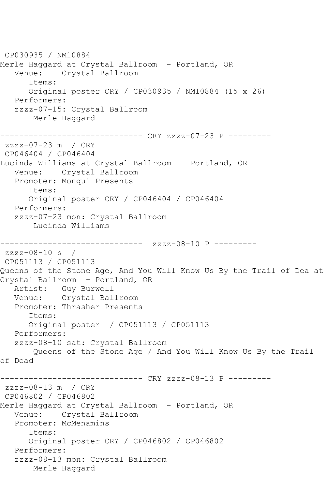CP030935 / NM10884 Merle Haggard at Crystal Ballroom – Portland, OR<br>Venue: Crystal Ballroom Crystal Ballroom Items: Original poster CRY / CP030935 / NM10884 (15 x 26) Performers: zzzz-07-15: Crystal Ballroom Merle Haggard ------------------------------ CRY zzzz-07-23 P -------- zzzz-07-23 m / CRY CP046404 / CP046404 Lucinda Williams at Crystal Ballroom - Portland, OR Venue: Crystal Ballroom Promoter: Monqui Presents Items: Original poster CRY / CP046404 / CP046404 Performers: zzzz-07-23 mon: Crystal Ballroom Lucinda Williams --------------------- zzzz-08-10 P --------zzzz-08-10 s / CP051113 / CP051113 Queens of the Stone Age, And You Will Know Us By the Trail of Dea at Crystal Ballroom - Portland, OR Artist: Guy Burwell Venue: Crystal Ballroom Promoter: Thrasher Presents Items: Original poster / CP051113 / CP051113 Performers: zzzz-08-10 sat: Crystal Ballroom Queens of the Stone Age / And You Will Know Us By the Trail of Dead ------------------------------ CRY zzzz-08-13 P -------- zzzz-08-13 m / CRY CP046802 / CP046802 Merle Haggard at Crystal Ballroom – Portland, OR<br>Venue: Crystal Ballroom Crystal Ballroom Promoter: McMenamins Items: Original poster CRY / CP046802 / CP046802 Performers: zzzz-08-13 mon: Crystal Ballroom Merle Haggard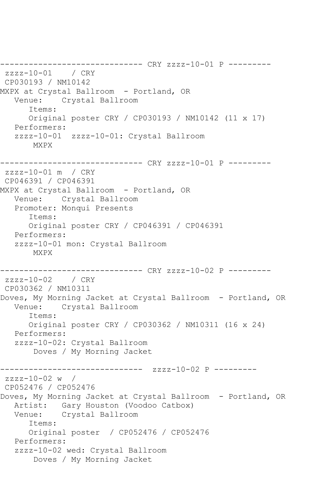------------------------------ CRY zzzz-10-01 P -------- zzzz-10-01 / CRY CP030193 / NM10142 MXPX at Crystal Ballroom - Portland, OR Venue: Crystal Ballroom Items: Original poster CRY / CP030193 / NM10142 (11 x 17) Performers: zzzz-10-01 zzzz-10-01: Crystal Ballroom MXPX ------------------------------ CRY zzzz-10-01 P -------- zzzz-10-01 m / CRY CP046391 / CP046391 MXPX at Crystal Ballroom - Portland, OR Venue: Crystal Ballroom Promoter: Monqui Presents Items: Original poster CRY / CP046391 / CP046391 Performers: zzzz-10-01 mon: Crystal Ballroom MXPX ----------- CRY zzzz-10-02 P -------- $zzzz-10-02$  / CRY CP030362 / NM10311 Doves, My Morning Jacket at Crystal Ballroom - Portland, OR Venue: Crystal Ballroom Items: Original poster CRY / CP030362 / NM10311 (16 x 24) Performers: zzzz-10-02: Crystal Ballroom Doves / My Morning Jacket ------------------------------ zzzz-10-02 P -------- zzzz-10-02 w / CP052476 / CP052476 Doves, My Morning Jacket at Crystal Ballroom - Portland, OR Artist: Gary Houston (Voodoo Catbox)<br>Venue: Crystal Ballroom Crystal Ballroom Items: Original poster / CP052476 / CP052476 Performers: zzzz-10-02 wed: Crystal Ballroom Doves / My Morning Jacket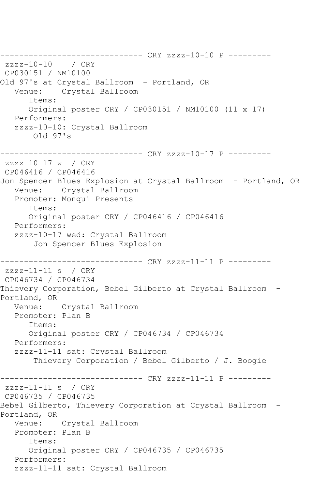------------------------------ CRY zzzz-10-10 P -------- zzzz-10-10 / CRY CP030151 / NM10100 Old 97's at Crystal Ballroom - Portland, OR<br>Venue: Crystal Ballroom Crystal Ballroom Items: Original poster CRY / CP030151 / NM10100 (11 x 17) Performers: zzzz-10-10: Crystal Ballroom Old 97's ------------------------------ CRY zzzz-10-17 P -------- zzzz-10-17 w / CRY CP046416 / CP046416 Jon Spencer Blues Explosion at Crystal Ballroom - Portland, OR Venue: Crystal Ballroom Promoter: Monqui Presents Items: Original poster CRY / CP046416 / CP046416 Performers: zzzz-10-17 wed: Crystal Ballroom Jon Spencer Blues Explosion ------------------------------ CRY zzzz-11-11 P -------- zzzz-11-11 s / CRY CP046734 / CP046734 Thievery Corporation, Bebel Gilberto at Crystal Ballroom - Portland, OR<br>
Venue: Crystal Ballroom Promoter: Plan B Items: Original poster CRY / CP046734 / CP046734 Performers: zzzz-11-11 sat: Crystal Ballroom Thievery Corporation / Bebel Gilberto / J. Boogie ------------------------------ CRY zzzz-11-11 P -------- zzzz-11-11 s / CRY CP046735 / CP046735 Bebel Gilberto, Thievery Corporation at Crystal Ballroom - Portland, OR Venue: Crystal Ballroom Promoter: Plan B Items: Original poster CRY / CP046735 / CP046735 Performers: zzzz-11-11 sat: Crystal Ballroom